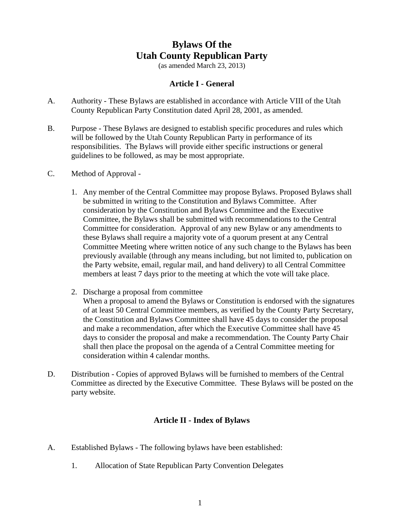# **Bylaws Of the Utah County Republican Party**

(as amended March 23, 2013)

#### **Article I - General**

- A. Authority These Bylaws are established in accordance with Article VIII of the Utah County Republican Party Constitution dated April 28, 2001, as amended.
- B. Purpose These Bylaws are designed to establish specific procedures and rules which will be followed by the Utah County Republican Party in performance of its responsibilities. The Bylaws will provide either specific instructions or general guidelines to be followed, as may be most appropriate.
- C. Method of Approval
	- 1. Any member of the Central Committee may propose Bylaws. Proposed Bylaws shall be submitted in writing to the Constitution and Bylaws Committee. After consideration by the Constitution and Bylaws Committee and the Executive Committee, the Bylaws shall be submitted with recommendations to the Central Committee for consideration. Approval of any new Bylaw or any amendments to these Bylaws shall require a majority vote of a quorum present at any Central Committee Meeting where written notice of any such change to the Bylaws has been previously available (through any means including, but not limited to, publication on the Party website, email, regular mail, and hand delivery) to all Central Committee members at least 7 days prior to the meeting at which the vote will take place.
	- 2. Discharge a proposal from committee When a proposal to amend the Bylaws or Constitution is endorsed with the signatures of at least 50 Central Committee members, as verified by the County Party Secretary, the Constitution and Bylaws Committee shall have 45 days to consider the proposal and make a recommendation, after which the Executive Committee shall have 45 days to consider the proposal and make a recommendation. The County Party Chair shall then place the proposal on the agenda of a Central Committee meeting for consideration within 4 calendar months.
- D. Distribution Copies of approved Bylaws will be furnished to members of the Central Committee as directed by the Executive Committee. These Bylaws will be posted on the party website.

#### **Article II - Index of Bylaws**

- A. Established Bylaws The following bylaws have been established:
	- 1. Allocation of State Republican Party Convention Delegates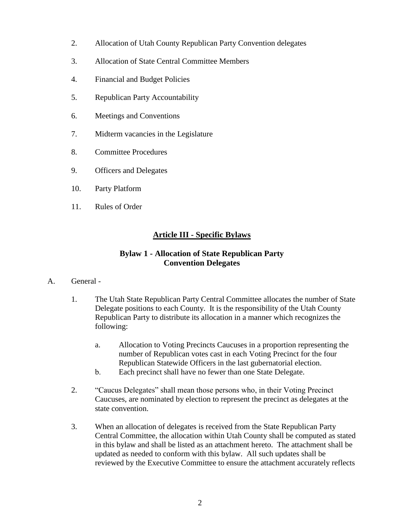- 2. Allocation of Utah County Republican Party Convention delegates
- 3. Allocation of State Central Committee Members
- 4. Financial and Budget Policies
- 5. Republican Party Accountability
- 6. Meetings and Conventions
- 7. Midterm vacancies in the Legislature
- 8. Committee Procedures
- 9. Officers and Delegates
- 10. Party Platform
- 11. Rules of Order

## **Article III - Specific Bylaws**

## **Bylaw 1 - Allocation of State Republican Party Convention Delegates**

- A. General
	- 1. The Utah State Republican Party Central Committee allocates the number of State Delegate positions to each County. It is the responsibility of the Utah County Republican Party to distribute its allocation in a manner which recognizes the following:
		- a. Allocation to Voting Precincts Caucuses in a proportion representing the number of Republican votes cast in each Voting Precinct for the four Republican Statewide Officers in the last gubernatorial election.
		- b. Each precinct shall have no fewer than one State Delegate.
	- 2. "Caucus Delegates" shall mean those persons who, in their Voting Precinct Caucuses, are nominated by election to represent the precinct as delegates at the state convention.
	- 3. When an allocation of delegates is received from the State Republican Party Central Committee, the allocation within Utah County shall be computed as stated in this bylaw and shall be listed as an attachment hereto. The attachment shall be updated as needed to conform with this bylaw. All such updates shall be reviewed by the Executive Committee to ensure the attachment accurately reflects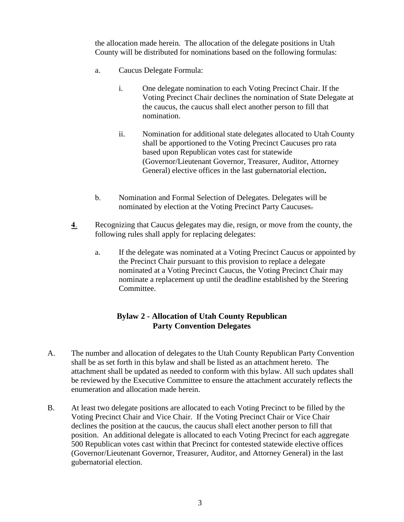the allocation made herein. The allocation of the delegate positions in Utah County will be distributed for nominations based on the following formulas:

- a. Caucus Delegate Formula:
	- i. One delegate nomination to each Voting Precinct Chair. If the Voting Precinct Chair declines the nomination of State Delegate at the caucus, the caucus shall elect another person to fill that nomination.
	- ii. Nomination for additional state delegates allocated to Utah County shall be apportioned to the Voting Precinct Caucuses pro rata based upon Republican votes cast for statewide (Governor/Lieutenant Governor, Treasurer, Auditor, Attorney General) elective offices in the last gubernatorial election**.**
- b. Nomination and Formal Selection of Delegates. Delegates will be nominated by election at the Voting Precinct Party Caucuses.
- **4**. Recognizing that Caucus delegates may die, resign, or move from the county, the following rules shall apply for replacing delegates:
	- a. If the delegate was nominated at a Voting Precinct Caucus or appointed by the Precinct Chair pursuant to this provision to replace a delegate nominated at a Voting Precinct Caucus, the Voting Precinct Chair may nominate a replacement up until the deadline established by the Steering Committee.

## **Bylaw 2 - Allocation of Utah County Republican Party Convention Delegates**

- A. The number and allocation of delegates to the Utah County Republican Party Convention shall be as set forth in this bylaw and shall be listed as an attachment hereto. The attachment shall be updated as needed to conform with this bylaw. All such updates shall be reviewed by the Executive Committee to ensure the attachment accurately reflects the enumeration and allocation made herein.
- B. At least two delegate positions are allocated to each Voting Precinct to be filled by the Voting Precinct Chair and Vice Chair. If the Voting Precinct Chair or Vice Chair declines the position at the caucus, the caucus shall elect another person to fill that position. An additional delegate is allocated to each Voting Precinct for each aggregate 500 Republican votes cast within that Precinct for contested statewide elective offices (Governor/Lieutenant Governor, Treasurer, Auditor, and Attorney General) in the last gubernatorial election.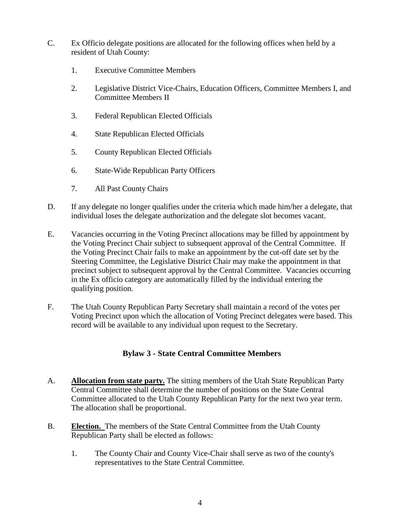- C. Ex Officio delegate positions are allocated for the following offices when held by a resident of Utah County:
	- 1. Executive Committee Members
	- 2. Legislative District Vice-Chairs, Education Officers, Committee Members I, and Committee Members II
	- 3. Federal Republican Elected Officials
	- 4. State Republican Elected Officials
	- 5. County Republican Elected Officials
	- 6. State-Wide Republican Party Officers
	- 7. All Past County Chairs
- D. If any delegate no longer qualifies under the criteria which made him/her a delegate, that individual loses the delegate authorization and the delegate slot becomes vacant.
- E. Vacancies occurring in the Voting Precinct allocations may be filled by appointment by the Voting Precinct Chair subject to subsequent approval of the Central Committee. If the Voting Precinct Chair fails to make an appointment by the cut-off date set by the Steering Committee, the Legislative District Chair may make the appointment in that precinct subject to subsequent approval by the Central Committee. Vacancies occurring in the Ex officio category are automatically filled by the individual entering the qualifying position.
- F. The Utah County Republican Party Secretary shall maintain a record of the votes per Voting Precinct upon which the allocation of Voting Precinct delegates were based. This record will be available to any individual upon request to the Secretary.

## **Bylaw 3 - State Central Committee Members**

- A. **Allocation from state party.** The sitting members of the Utah State Republican Party Central Committee shall determine the number of positions on the State Central Committee allocated to the Utah County Republican Party for the next two year term. The allocation shall be proportional.
- B. **Election.** The members of the State Central Committee from the Utah County Republican Party shall be elected as follows:
	- 1. The County Chair and County Vice-Chair shall serve as two of the county's representatives to the State Central Committee.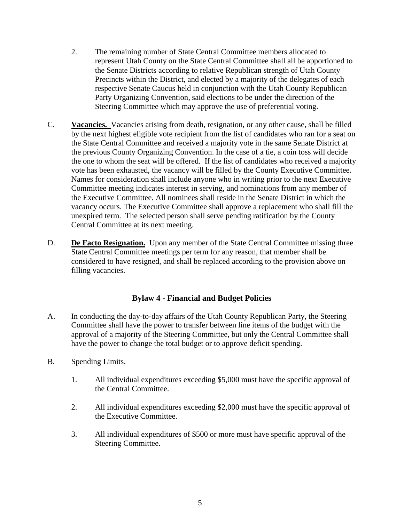- 2. The remaining number of State Central Committee members allocated to represent Utah County on the State Central Committee shall all be apportioned to the Senate Districts according to relative Republican strength of Utah County Precincts within the District, and elected by a majority of the delegates of each respective Senate Caucus held in conjunction with the Utah County Republican Party Organizing Convention, said elections to be under the direction of the Steering Committee which may approve the use of preferential voting.
- C. **Vacancies.** Vacancies arising from death, resignation, or any other cause, shall be filled by the next highest eligible vote recipient from the list of candidates who ran for a seat on the State Central Committee and received a majority vote in the same Senate District at the previous County Organizing Convention. In the case of a tie, a coin toss will decide the one to whom the seat will be offered. If the list of candidates who received a majority vote has been exhausted, the vacancy will be filled by the County Executive Committee. Names for consideration shall include anyone who in writing prior to the next Executive Committee meeting indicates interest in serving, and nominations from any member of the Executive Committee. All nominees shall reside in the Senate District in which the vacancy occurs. The Executive Committee shall approve a replacement who shall fill the unexpired term. The selected person shall serve pending ratification by the County Central Committee at its next meeting.
- D. **De Facto Resignation.** Upon any member of the State Central Committee missing three State Central Committee meetings per term for any reason, that member shall be considered to have resigned, and shall be replaced according to the provision above on filling vacancies.

#### **Bylaw 4 - Financial and Budget Policies**

- A. In conducting the day-to-day affairs of the Utah County Republican Party, the Steering Committee shall have the power to transfer between line items of the budget with the approval of a majority of the Steering Committee, but only the Central Committee shall have the power to change the total budget or to approve deficit spending.
- B. Spending Limits.
	- 1. All individual expenditures exceeding \$5,000 must have the specific approval of the Central Committee.
	- 2. All individual expenditures exceeding \$2,000 must have the specific approval of the Executive Committee.
	- 3. All individual expenditures of \$500 or more must have specific approval of the Steering Committee.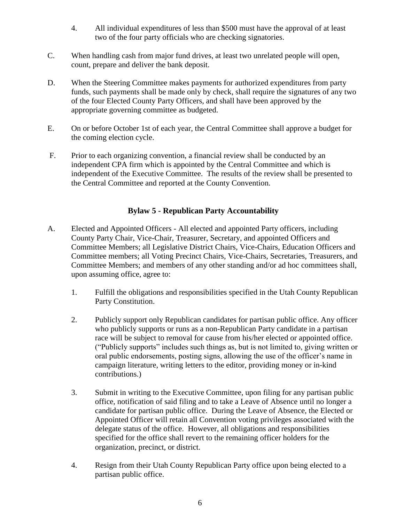- 4. All individual expenditures of less than \$500 must have the approval of at least two of the four party officials who are checking signatories.
- C. When handling cash from major fund drives, at least two unrelated people will open, count, prepare and deliver the bank deposit.
- D. When the Steering Committee makes payments for authorized expenditures from party funds, such payments shall be made only by check, shall require the signatures of any two of the four Elected County Party Officers, and shall have been approved by the appropriate governing committee as budgeted.
- E. On or before October 1st of each year, the Central Committee shall approve a budget for the coming election cycle.
- F. Prior to each organizing convention, a financial review shall be conducted by an independent CPA firm which is appointed by the Central Committee and which is independent of the Executive Committee. The results of the review shall be presented to the Central Committee and reported at the County Convention.

## **Bylaw 5 - Republican Party Accountability**

- A. Elected and Appointed Officers All elected and appointed Party officers, including County Party Chair, Vice-Chair, Treasurer, Secretary, and appointed Officers and Committee Members; all Legislative District Chairs, Vice-Chairs, Education Officers and Committee members; all Voting Precinct Chairs, Vice-Chairs, Secretaries, Treasurers, and Committee Members; and members of any other standing and/or ad hoc committees shall, upon assuming office, agree to:
	- 1. Fulfill the obligations and responsibilities specified in the Utah County Republican Party Constitution.
	- 2. Publicly support only Republican candidates for partisan public office. Any officer who publicly supports or runs as a non-Republican Party candidate in a partisan race will be subject to removal for cause from his/her elected or appointed office. ("Publicly supports" includes such things as, but is not limited to, giving written or oral public endorsements, posting signs, allowing the use of the officer's name in campaign literature, writing letters to the editor, providing money or in-kind contributions.)
	- 3. Submit in writing to the Executive Committee, upon filing for any partisan public office, notification of said filing and to take a Leave of Absence until no longer a candidate for partisan public office. During the Leave of Absence, the Elected or Appointed Officer will retain all Convention voting privileges associated with the delegate status of the office. However, all obligations and responsibilities specified for the office shall revert to the remaining officer holders for the organization, precinct, or district.
	- 4. Resign from their Utah County Republican Party office upon being elected to a partisan public office.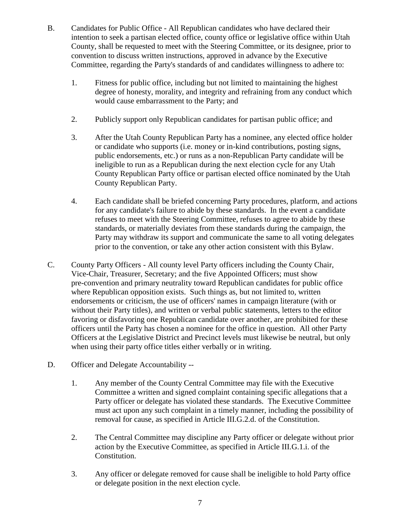- B. Candidates for Public Office All Republican candidates who have declared their intention to seek a partisan elected office, county office or legislative office within Utah County, shall be requested to meet with the Steering Committee, or its designee, prior to convention to discuss written instructions, approved in advance by the Executive Committee, regarding the Party's standards of and candidates willingness to adhere to:
	- 1. Fitness for public office, including but not limited to maintaining the highest degree of honesty, morality, and integrity and refraining from any conduct which would cause embarrassment to the Party; and
	- 2. Publicly support only Republican candidates for partisan public office; and
	- 3. After the Utah County Republican Party has a nominee, any elected office holder or candidate who supports (i.e. money or in-kind contributions, posting signs, public endorsements, etc.) or runs as a non-Republican Party candidate will be ineligible to run as a Republican during the next election cycle for any Utah County Republican Party office or partisan elected office nominated by the Utah County Republican Party.
	- 4. Each candidate shall be briefed concerning Party procedures, platform, and actions for any candidate's failure to abide by these standards. In the event a candidate refuses to meet with the Steering Committee, refuses to agree to abide by these standards, or materially deviates from these standards during the campaign, the Party may withdraw its support and communicate the same to all voting delegates prior to the convention, or take any other action consistent with this Bylaw.
- C. County Party Officers All county level Party officers including the County Chair, Vice-Chair, Treasurer, Secretary; and the five Appointed Officers; must show pre-convention and primary neutrality toward Republican candidates for public office where Republican opposition exists. Such things as, but not limited to, written endorsements or criticism, the use of officers' names in campaign literature (with or without their Party titles), and written or verbal public statements, letters to the editor favoring or disfavoring one Republican candidate over another, are prohibited for these officers until the Party has chosen a nominee for the office in question. All other Party Officers at the Legislative District and Precinct levels must likewise be neutral, but only when using their party office titles either verbally or in writing.
- D. Officer and Delegate Accountability --
	- 1. Any member of the County Central Committee may file with the Executive Committee a written and signed complaint containing specific allegations that a Party officer or delegate has violated these standards. The Executive Committee must act upon any such complaint in a timely manner, including the possibility of removal for cause, as specified in Article III.G.2.d. of the Constitution.
	- 2. The Central Committee may discipline any Party officer or delegate without prior action by the Executive Committee, as specified in Article III.G.1.i. of the Constitution.
	- 3. Any officer or delegate removed for cause shall be ineligible to hold Party office or delegate position in the next election cycle.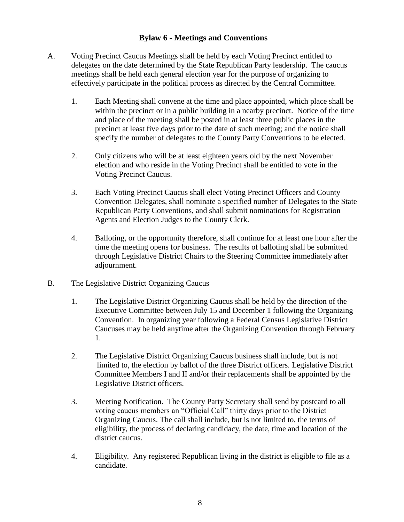## **Bylaw 6 - Meetings and Conventions**

- A. Voting Precinct Caucus Meetings shall be held by each Voting Precinct entitled to delegates on the date determined by the State Republican Party leadership. The caucus meetings shall be held each general election year for the purpose of organizing to effectively participate in the political process as directed by the Central Committee.
	- 1. Each Meeting shall convene at the time and place appointed, which place shall be within the precinct or in a public building in a nearby precinct. Notice of the time and place of the meeting shall be posted in at least three public places in the precinct at least five days prior to the date of such meeting; and the notice shall specify the number of delegates to the County Party Conventions to be elected.
	- 2. Only citizens who will be at least eighteen years old by the next November election and who reside in the Voting Precinct shall be entitled to vote in the Voting Precinct Caucus.
	- 3. Each Voting Precinct Caucus shall elect Voting Precinct Officers and County Convention Delegates, shall nominate a specified number of Delegates to the State Republican Party Conventions, and shall submit nominations for Registration Agents and Election Judges to the County Clerk.
	- 4. Balloting, or the opportunity therefore, shall continue for at least one hour after the time the meeting opens for business. The results of balloting shall be submitted through Legislative District Chairs to the Steering Committee immediately after adjournment.
- B. The Legislative District Organizing Caucus
	- 1. The Legislative District Organizing Caucus shall be held by the direction of the Executive Committee between July 15 and December 1 following the Organizing Convention. In organizing year following a Federal Census Legislative District Caucuses may be held anytime after the Organizing Convention through February 1.
	- 2. The Legislative District Organizing Caucus business shall include, but is not limited to, the election by ballot of the three District officers. Legislative District Committee Members I and II and/or their replacements shall be appointed by the Legislative District officers.
	- 3. Meeting Notification. The County Party Secretary shall send by postcard to all voting caucus members an "Official Call" thirty days prior to the District Organizing Caucus. The call shall include, but is not limited to, the terms of eligibility, the process of declaring candidacy, the date, time and location of the district caucus.
	- 4. Eligibility. Any registered Republican living in the district is eligible to file as a candidate.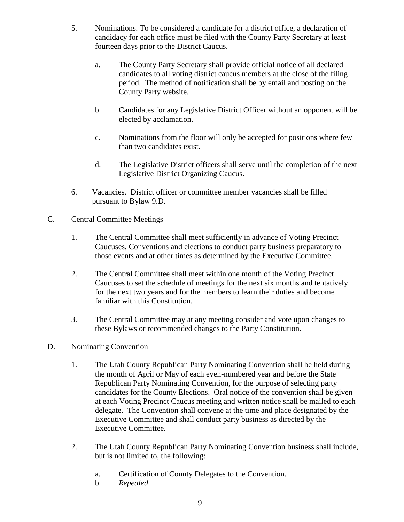- 5. Nominations. To be considered a candidate for a district office, a declaration of candidacy for each office must be filed with the County Party Secretary at least fourteen days prior to the District Caucus.
	- a. The County Party Secretary shall provide official notice of all declared candidates to all voting district caucus members at the close of the filing period. The method of notification shall be by email and posting on the County Party website.
	- b. Candidates for any Legislative District Officer without an opponent will be elected by acclamation.
	- c. Nominations from the floor will only be accepted for positions where few than two candidates exist.
	- d. The Legislative District officers shall serve until the completion of the next Legislative District Organizing Caucus.
- 6. Vacancies. District officer or committee member vacancies shall be filled pursuant to Bylaw 9.D.
- C. Central Committee Meetings
	- 1. The Central Committee shall meet sufficiently in advance of Voting Precinct Caucuses, Conventions and elections to conduct party business preparatory to those events and at other times as determined by the Executive Committee.
	- 2. The Central Committee shall meet within one month of the Voting Precinct Caucuses to set the schedule of meetings for the next six months and tentatively for the next two years and for the members to learn their duties and become familiar with this Constitution.
	- 3. The Central Committee may at any meeting consider and vote upon changes to these Bylaws or recommended changes to the Party Constitution.
- D. Nominating Convention
	- 1. The Utah County Republican Party Nominating Convention shall be held during the month of April or May of each even-numbered year and before the State Republican Party Nominating Convention, for the purpose of selecting party candidates for the County Elections. Oral notice of the convention shall be given at each Voting Precinct Caucus meeting and written notice shall be mailed to each delegate. The Convention shall convene at the time and place designated by the Executive Committee and shall conduct party business as directed by the Executive Committee.
	- 2. The Utah County Republican Party Nominating Convention business shall include, but is not limited to, the following:
		- a. Certification of County Delegates to the Convention.
		- b. *Repealed*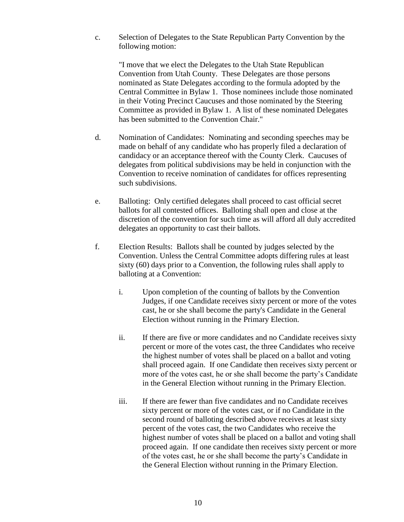c. Selection of Delegates to the State Republican Party Convention by the following motion:

"I move that we elect the Delegates to the Utah State Republican Convention from Utah County. These Delegates are those persons nominated as State Delegates according to the formula adopted by the Central Committee in Bylaw 1. Those nominees include those nominated in their Voting Precinct Caucuses and those nominated by the Steering Committee as provided in Bylaw 1. A list of these nominated Delegates has been submitted to the Convention Chair."

- d. Nomination of Candidates: Nominating and seconding speeches may be made on behalf of any candidate who has properly filed a declaration of candidacy or an acceptance thereof with the County Clerk. Caucuses of delegates from political subdivisions may be held in conjunction with the Convention to receive nomination of candidates for offices representing such subdivisions.
- e. Balloting: Only certified delegates shall proceed to cast official secret ballots for all contested offices. Balloting shall open and close at the discretion of the convention for such time as will afford all duly accredited delegates an opportunity to cast their ballots.
- f. Election Results: Ballots shall be counted by judges selected by the Convention. Unless the Central Committee adopts differing rules at least sixty (60) days prior to a Convention, the following rules shall apply to balloting at a Convention:
	- i. Upon completion of the counting of ballots by the Convention Judges, if one Candidate receives sixty percent or more of the votes cast, he or she shall become the party's Candidate in the General Election without running in the Primary Election.
	- ii. If there are five or more candidates and no Candidate receives sixty percent or more of the votes cast, the three Candidates who receive the highest number of votes shall be placed on a ballot and voting shall proceed again. If one Candidate then receives sixty percent or more of the votes cast, he or she shall become the party's Candidate in the General Election without running in the Primary Election.
	- iii. If there are fewer than five candidates and no Candidate receives sixty percent or more of the votes cast, or if no Candidate in the second round of balloting described above receives at least sixty percent of the votes cast, the two Candidates who receive the highest number of votes shall be placed on a ballot and voting shall proceed again. If one candidate then receives sixty percent or more of the votes cast, he or she shall become the party's Candidate in the General Election without running in the Primary Election.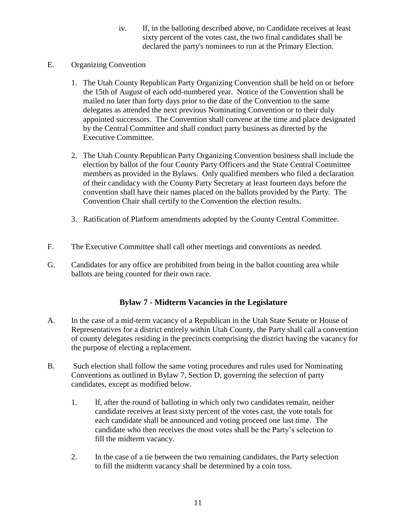- iv. If, in the balloting described above, no Candidate receives at least sixty percent of the votes cast, the two final candidates shall be declared the party's nominees to run at the Primary Election.
- E. Organizing Convention
	- 1. The Utah County Republican Party Organizing Convention shall be held on or before the 15th of August of each odd-numbered year. Notice of the Convention shall be mailed no later than forty days prior to the date of the Convention to the same delegates as attended the next previous Nominating Convention or to their duly appointed successors. The Convention shall convene at the time and place designated by the Central Committee and shall conduct party business as directed by the Executive Committee.
	- 2. The Utah County Republican Party Organizing Convention business shall include the election by ballot of the four County Party Officers and the State Central Committee members as provided in the Bylaws. Only qualified members who filed a declaration of their candidacy with the County Party Secretary at least fourteen days before the convention shall have their names placed on the ballots provided by the Party. The Convention Chair shall certify to the Convention the election results.
	- 3. Ratification of Platform amendments adopted by the County Central Committee.
- F. The Executive Committee shall call other meetings and conventions as needed.
- G. Candidates for any office are prohibited from being in the ballot counting area while ballots are being counted for their own race.

## **Bylaw 7 - Midterm Vacancies in the Legislature**

- A. In the case of a mid-term vacancy of a Republican in the Utah State Senate or House of Representatives for a district entirely within Utah County, the Party shall call a convention of county delegates residing in the precincts comprising the district having the vacancy for the purpose of electing a replacement.
- B. Such election shall follow the same voting procedures and rules used for Nominating Conventions as outlined in Bylaw 7, Section D, governing the selection of party candidates, except as modified below.
	- 1. If, after the round of balloting in which only two candidates remain, neither candidate receives at least sixty percent of the votes cast, the vote totals for each candidate shall be announced and voting proceed one last time. The candidate who then receives the most votes shall be the Party's selection to fill the midterm vacancy.
	- 2. In the case of a tie between the two remaining candidates, the Party selection to fill the midterm vacancy shall be determined by a coin toss.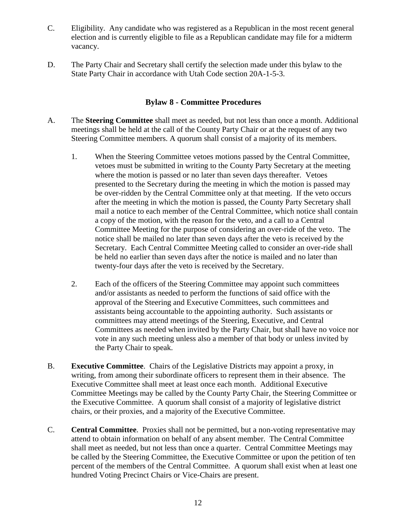- C. Eligibility. Any candidate who was registered as a Republican in the most recent general election and is currently eligible to file as a Republican candidate may file for a midterm vacancy.
- D. The Party Chair and Secretary shall certify the selection made under this bylaw to the State Party Chair in accordance with Utah Code section 20A-1-5-3.

#### **Bylaw 8 - Committee Procedures**

- A. The **Steering Committee** shall meet as needed, but not less than once a month. Additional meetings shall be held at the call of the County Party Chair or at the request of any two Steering Committee members. A quorum shall consist of a majority of its members.
	- 1. When the Steering Committee vetoes motions passed by the Central Committee, vetoes must be submitted in writing to the County Party Secretary at the meeting where the motion is passed or no later than seven days thereafter. Vetoes presented to the Secretary during the meeting in which the motion is passed may be over-ridden by the Central Committee only at that meeting. If the veto occurs after the meeting in which the motion is passed, the County Party Secretary shall mail a notice to each member of the Central Committee, which notice shall contain a copy of the motion, with the reason for the veto, and a call to a Central Committee Meeting for the purpose of considering an over-ride of the veto. The notice shall be mailed no later than seven days after the veto is received by the Secretary. Each Central Committee Meeting called to consider an over-ride shall be held no earlier than seven days after the notice is mailed and no later than twenty-four days after the veto is received by the Secretary.
	- 2. Each of the officers of the Steering Committee may appoint such committees and/or assistants as needed to perform the functions of said office with the approval of the Steering and Executive Committees, such committees and assistants being accountable to the appointing authority. Such assistants or committees may attend meetings of the Steering, Executive, and Central Committees as needed when invited by the Party Chair, but shall have no voice nor vote in any such meeting unless also a member of that body or unless invited by the Party Chair to speak.
- B. **Executive Committee**. Chairs of the Legislative Districts may appoint a proxy, in writing, from among their subordinate officers to represent them in their absence. The Executive Committee shall meet at least once each month. Additional Executive Committee Meetings may be called by the County Party Chair, the Steering Committee or the Executive Committee. A quorum shall consist of a majority of legislative district chairs, or their proxies, and a majority of the Executive Committee.
- C. **Central Committee**. Proxies shall not be permitted, but a non-voting representative may attend to obtain information on behalf of any absent member. The Central Committee shall meet as needed, but not less than once a quarter. Central Committee Meetings may be called by the Steering Committee, the Executive Committee or upon the petition of ten percent of the members of the Central Committee. A quorum shall exist when at least one hundred Voting Precinct Chairs or Vice-Chairs are present.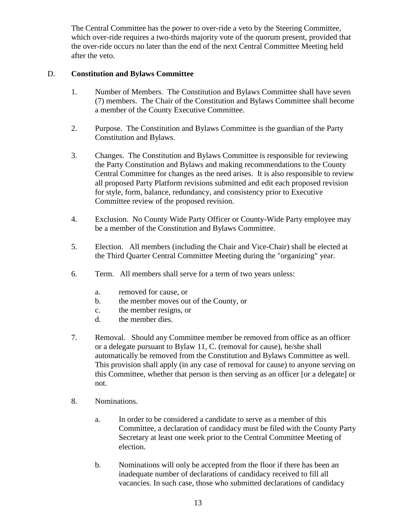The Central Committee has the power to over-ride a veto by the Steering Committee, which over-ride requires a two-thirds majority vote of the quorum present, provided that the over-ride occurs no later than the end of the next Central Committee Meeting held after the veto.

#### D. **Constitution and Bylaws Committee**

- 1. Number of Members. The Constitution and Bylaws Committee shall have seven (7) members. The Chair of the Constitution and Bylaws Committee shall become a member of the County Executive Committee.
- 2. Purpose. The Constitution and Bylaws Committee is the guardian of the Party Constitution and Bylaws.
- 3. Changes. The Constitution and Bylaws Committee is responsible for reviewing the Party Constitution and Bylaws and making recommendations to the County Central Committee for changes as the need arises. It is also responsible to review all proposed Party Platform revisions submitted and edit each proposed revision for style, form, balance, redundancy, and consistency prior to Executive Committee review of the proposed revision.
- 4. Exclusion. No County Wide Party Officer or County-Wide Party employee may be a member of the Constitution and Bylaws Committee.
- 5. Election. All members (including the Chair and Vice-Chair) shall be elected at the Third Quarter Central Committee Meeting during the "organizing" year.
- 6. Term. All members shall serve for a term of two years unless:
	- a. removed for cause, or
	- b. the member moves out of the County, or
	- c. the member resigns, or
	- d. the member dies.
- 7. Removal. Should any Committee member be removed from office as an officer or a delegate pursuant to Bylaw 11, C. (removal for cause), he/she shall automatically be removed from the Constitution and Bylaws Committee as well. This provision shall apply (in any case of removal for cause) to anyone serving on this Committee, whether that person is then serving as an officer [or a delegate] or not.
- 8. Nominations.
	- a. In order to be considered a candidate to serve as a member of this Committee, a declaration of candidacy must be filed with the County Party Secretary at least one week prior to the Central Committee Meeting of election.
	- b. Nominations will only be accepted from the floor if there has been an inadequate number of declarations of candidacy received to fill all vacancies. In such case, those who submitted declarations of candidacy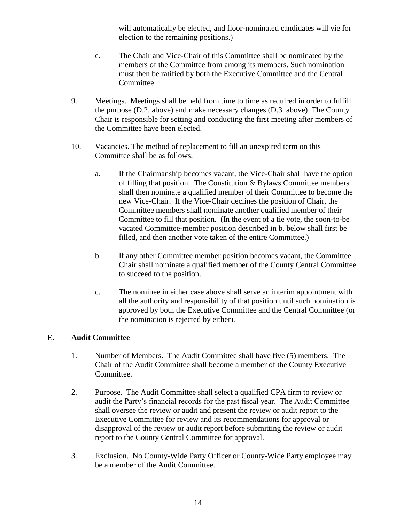will automatically be elected, and floor-nominated candidates will vie for election to the remaining positions.)

- c. The Chair and Vice-Chair of this Committee shall be nominated by the members of the Committee from among its members. Such nomination must then be ratified by both the Executive Committee and the Central Committee.
- 9. Meetings. Meetings shall be held from time to time as required in order to fulfill the purpose (D.2. above) and make necessary changes (D.3. above). The County Chair is responsible for setting and conducting the first meeting after members of the Committee have been elected.
- 10. Vacancies. The method of replacement to fill an unexpired term on this Committee shall be as follows:
	- a. If the Chairmanship becomes vacant, the Vice-Chair shall have the option of filling that position. The Constitution & Bylaws Committee members shall then nominate a qualified member of their Committee to become the new Vice-Chair. If the Vice-Chair declines the position of Chair, the Committee members shall nominate another qualified member of their Committee to fill that position. (In the event of a tie vote, the soon-to-be vacated Committee-member position described in b. below shall first be filled, and then another vote taken of the entire Committee.)
	- b. If any other Committee member position becomes vacant, the Committee Chair shall nominate a qualified member of the County Central Committee to succeed to the position.
	- c. The nominee in either case above shall serve an interim appointment with all the authority and responsibility of that position until such nomination is approved by both the Executive Committee and the Central Committee (or the nomination is rejected by either).

#### E. **Audit Committee**

- 1. Number of Members. The Audit Committee shall have five (5) members. The Chair of the Audit Committee shall become a member of the County Executive Committee.
- 2. Purpose. The Audit Committee shall select a qualified CPA firm to review or audit the Party's financial records for the past fiscal year. The Audit Committee shall oversee the review or audit and present the review or audit report to the Executive Committee for review and its recommendations for approval or disapproval of the review or audit report before submitting the review or audit report to the County Central Committee for approval.
- 3. Exclusion. No County-Wide Party Officer or County-Wide Party employee may be a member of the Audit Committee.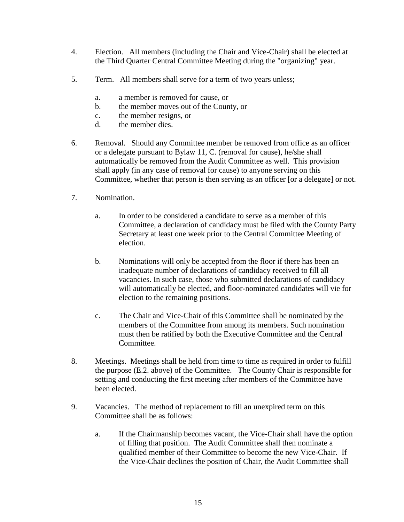- 4. Election. All members (including the Chair and Vice-Chair) shall be elected at the Third Quarter Central Committee Meeting during the "organizing" year.
- 5. Term. All members shall serve for a term of two years unless;
	- a. a member is removed for cause, or
	- b. the member moves out of the County, or
	- c. the member resigns, or
	- d. the member dies.
- 6. Removal. Should any Committee member be removed from office as an officer or a delegate pursuant to Bylaw 11, C. (removal for cause), he/she shall automatically be removed from the Audit Committee as well. This provision shall apply (in any case of removal for cause) to anyone serving on this Committee, whether that person is then serving as an officer [or a delegate] or not.
- 7. Nomination.
	- a. In order to be considered a candidate to serve as a member of this Committee, a declaration of candidacy must be filed with the County Party Secretary at least one week prior to the Central Committee Meeting of election.
	- b. Nominations will only be accepted from the floor if there has been an inadequate number of declarations of candidacy received to fill all vacancies. In such case, those who submitted declarations of candidacy will automatically be elected, and floor-nominated candidates will vie for election to the remaining positions.
	- c. The Chair and Vice-Chair of this Committee shall be nominated by the members of the Committee from among its members. Such nomination must then be ratified by both the Executive Committee and the Central Committee.
- 8. Meetings. Meetings shall be held from time to time as required in order to fulfill the purpose (E.2. above) of the Committee. The County Chair is responsible for setting and conducting the first meeting after members of the Committee have been elected.
- 9. Vacancies. The method of replacement to fill an unexpired term on this Committee shall be as follows:
	- a. If the Chairmanship becomes vacant, the Vice-Chair shall have the option of filling that position. The Audit Committee shall then nominate a qualified member of their Committee to become the new Vice-Chair. If the Vice-Chair declines the position of Chair, the Audit Committee shall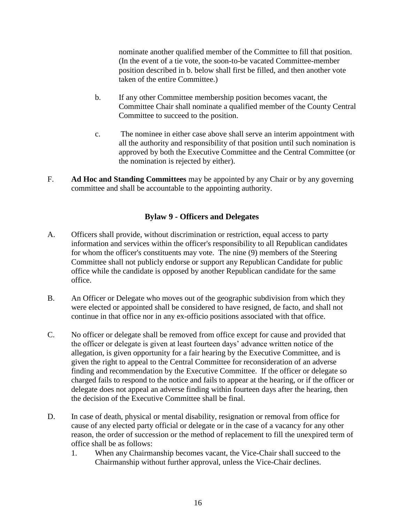nominate another qualified member of the Committee to fill that position. (In the event of a tie vote, the soon-to-be vacated Committee-member position described in b. below shall first be filled, and then another vote taken of the entire Committee.)

- b. If any other Committee membership position becomes vacant, the Committee Chair shall nominate a qualified member of the County Central Committee to succeed to the position.
- c. The nominee in either case above shall serve an interim appointment with all the authority and responsibility of that position until such nomination is approved by both the Executive Committee and the Central Committee (or the nomination is rejected by either).
- F. **Ad Hoc and Standing Committees** may be appointed by any Chair or by any governing committee and shall be accountable to the appointing authority.

#### **Bylaw 9 - Officers and Delegates**

- A. Officers shall provide, without discrimination or restriction, equal access to party information and services within the officer's responsibility to all Republican candidates for whom the officer's constituents may vote. The nine (9) members of the Steering Committee shall not publicly endorse or support any Republican Candidate for public office while the candidate is opposed by another Republican candidate for the same office.
- B. An Officer or Delegate who moves out of the geographic subdivision from which they were elected or appointed shall be considered to have resigned, de facto, and shall not continue in that office nor in any ex-officio positions associated with that office.
- C. No officer or delegate shall be removed from office except for cause and provided that the officer or delegate is given at least fourteen days' advance written notice of the allegation, is given opportunity for a fair hearing by the Executive Committee, and is given the right to appeal to the Central Committee for reconsideration of an adverse finding and recommendation by the Executive Committee. If the officer or delegate so charged fails to respond to the notice and fails to appear at the hearing, or if the officer or delegate does not appeal an adverse finding within fourteen days after the hearing, then the decision of the Executive Committee shall be final.
- D. In case of death, physical or mental disability, resignation or removal from office for cause of any elected party official or delegate or in the case of a vacancy for any other reason, the order of succession or the method of replacement to fill the unexpired term of office shall be as follows:
	- 1. When any Chairmanship becomes vacant, the Vice-Chair shall succeed to the Chairmanship without further approval, unless the Vice-Chair declines.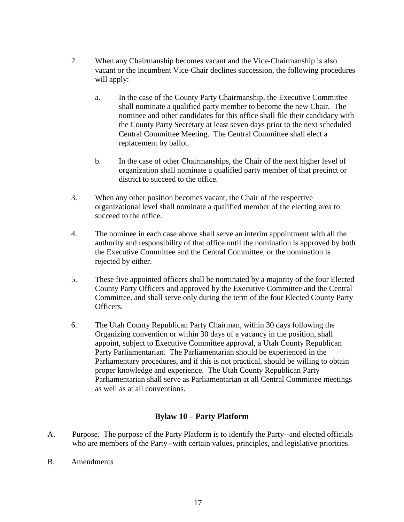- 2. When any Chairmanship becomes vacant and the Vice-Chairmanship is also vacant or the incumbent Vice-Chair declines succession, the following procedures will apply:
	- a. In the case of the County Party Chairmanship, the Executive Committee shall nominate a qualified party member to become the new Chair. The nominee and other candidates for this office shall file their candidacy with the County Party Secretary at least seven days prior to the next scheduled Central Committee Meeting. The Central Committee shall elect a replacement by ballot.
	- b. In the case of other Chairmanships, the Chair of the next higher level of organization shall nominate a qualified party member of that precinct or district to succeed to the office.
- 3. When any other position becomes vacant, the Chair of the respective organizational level shall nominate a qualified member of the electing area to succeed to the office.
- 4. The nominee in each case above shall serve an interim appointment with all the authority and responsibility of that office until the nomination is approved by both the Executive Committee and the Central Committee, or the nomination is rejected by either.
- 5. These five appointed officers shall be nominated by a majority of the four Elected County Party Officers and approved by the Executive Committee and the Central Committee, and shall serve only during the term of the four Elected County Party Officers.
- 6. The Utah County Republican Party Chairman, within 30 days following the Organizing convention or within 30 days of a vacancy in the position, shall appoint, subject to Executive Committee approval, a Utah County Republican Party Parliamentarian. The Parliamentarian should be experienced in the Parliamentary procedures, and if this is not practical, should be willing to obtain proper knowledge and experience. The Utah County Republican Party Parliamentarian shall serve as Parliamentarian at all Central Committee meetings as well as at all conventions.

## **Bylaw 10 – Party Platform**

- A. Purpose. The purpose of the Party Platform is to identify the Party--and elected officials who are members of the Party--with certain values, principles, and legislative priorities.
- B. Amendments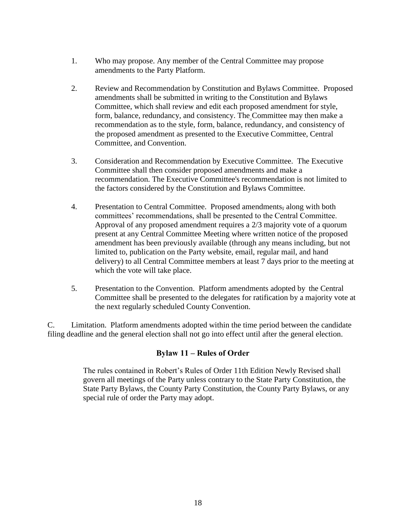- 1. Who may propose. Any member of the Central Committee may propose amendments to the Party Platform.
- 2. Review and Recommendation by Constitution and Bylaws Committee. Proposed amendments shall be submitted in writing to the Constitution and Bylaws Committee, which shall review and edit each proposed amendment for style, form, balance, redundancy, and consistency. The Committee may then make a recommendation as to the style, form, balance, redundancy, and consistency of the proposed amendment as presented to the Executive Committee, Central Committee, and Convention.
- 3. Consideration and Recommendation by Executive Committee. The Executive Committee shall then consider proposed amendments and make a recommendation. The Executive Committee's recommendation is not limited to the factors considered by the Constitution and Bylaws Committee.
- 4. Presentation to Central Committee. Proposed amendments, along with both committees' recommendations, shall be presented to the Central Committee. Approval of any proposed amendment requires a 2/3 majority vote of a quorum present at any Central Committee Meeting where written notice of the proposed amendment has been previously available (through any means including, but not limited to, publication on the Party website, email, regular mail, and hand delivery) to all Central Committee members at least 7 days prior to the meeting at which the vote will take place.
- 5. Presentation to the Convention. Platform amendments adopted by the Central Committee shall be presented to the delegates for ratification by a majority vote at the next regularly scheduled County Convention.

C. Limitation. Platform amendments adopted within the time period between the candidate filing deadline and the general election shall not go into effect until after the general election.

#### **Bylaw 11 – Rules of Order**

The rules contained in Robert's Rules of Order 11th Edition Newly Revised shall govern all meetings of the Party unless contrary to the State Party Constitution, the State Party Bylaws, the County Party Constitution, the County Party Bylaws, or any special rule of order the Party may adopt.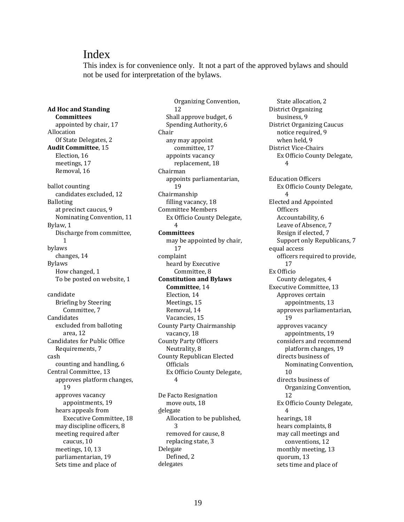## Index

This index is for convenience only. It not a part of the approved bylaws and should not be used for interpretation of the bylaws.

Organizing Convention,

**Ad Hoc and Standing Committees** appointed by chair, 17 Allocation Of State Delegates, 2 **Audit Committee**, 15 Election, 16 meetings, 17 Removal, 16 ballot counting candidates excluded, 12 Balloting at precinct caucus, 9 Nominating Convention, 11 Bylaw, 1 Discharge from committee, 1 bylaws changes, 14 Bylaws How changed, 1 To be posted on website, 1 candidate Briefing by Steering Committee, 7 Candidates excluded from balloting area, 12 Candidates for Public Office Requirements, 7 cash counting and handling, 6 Central Committee, 13 approves platform changes, 19 approves vacancy appointments, 19 hears appeals from Executive Committee, 18 may discipline officers, 8 meeting required after caucus, 10 meetings, 10, 13 parliamentarian, 19 Sets time and place of

12 Shall approve budget, 6 Spending Authority, 6 Chair any may appoint committee, 17 appoints vacancy replacement, 18 Chairman appoints parliamentarian, 19 Chairmanship filling vacancy, 18 Committee Members Ex Officio County Delegate, 4 **Committees** may be appointed by chair, 17 complaint heard by Executive Committee, 8 **Constitution and Bylaws Committee**, 14 Election, 14 Meetings, 15 Removal, 14 Vacancies, 15 County Party Chairmanship vacancy, 18 County Party Officers Neutrality, 8 County Republican Elected Officials Ex Officio County Delegate, 4 De Facto Resignation

move outs, 18 delegate Allocation to be published, 3 removed for cause, 8 replacing state, 3 Delegate Defined, 2 delegates

State allocation, 2 District Organizing business, 9 District Organizing Caucus notice required, 9 when held, 9 District Vice-Chairs Ex Officio County Delegate, 4 Education Officers Ex Officio County Delegate, 4 Elected and Appointed **Officers** Accountability, 6 Leave of Absence, 7 Resign if elected, 7 Support only Republicans, 7 equal access officers required to provide, 17 Ex Officio County delegates, 4 Executive Committee, 13 Approves certain appointments, 13 approves parliamentarian, 19 approves vacancy appointments, 19 considers and recommend platform changes, 19 directs business of Nominating Convention, 10 directs business of Organizing Convention, 12 Ex Officio County Delegate, 4 hearings, 18 hears complaints, 8 may call meetings and conventions, 12 monthly meeting, 13 quorum, 13 sets time and place of